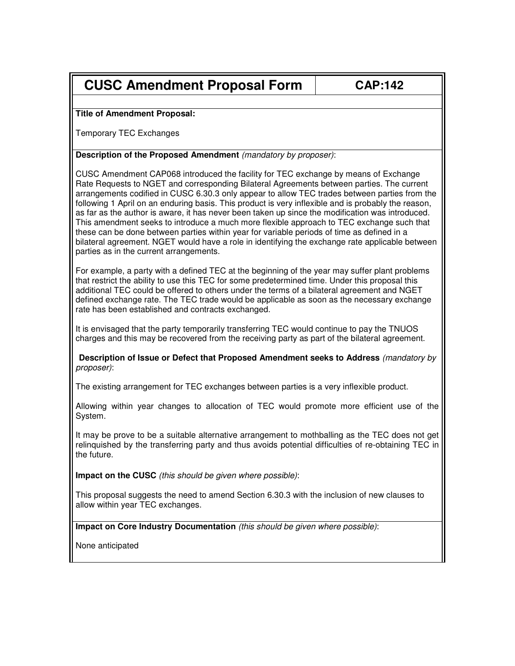## **CUSC Amendment Proposal Form | CAP:142**

## **Title of Amendment Proposal:**

Temporary TEC Exchanges

## **Description of the Proposed Amendment** (mandatory by proposer):

CUSC Amendment CAP068 introduced the facility for TEC exchange by means of Exchange Rate Requests to NGET and corresponding Bilateral Agreements between parties. The current arrangements codified in CUSC 6.30.3 only appear to allow TEC trades between parties from the following 1 April on an enduring basis. This product is very inflexible and is probably the reason, as far as the author is aware, it has never been taken up since the modification was introduced. This amendment seeks to introduce a much more flexible approach to TEC exchange such that these can be done between parties within year for variable periods of time as defined in a bilateral agreement. NGET would have a role in identifying the exchange rate applicable between parties as in the current arrangements.

For example, a party with a defined TEC at the beginning of the year may suffer plant problems that restrict the ability to use this TEC for some predetermined time. Under this proposal this additional TEC could be offered to others under the terms of a bilateral agreement and NGET defined exchange rate. The TEC trade would be applicable as soon as the necessary exchange rate has been established and contracts exchanged.

It is envisaged that the party temporarily transferring TEC would continue to pay the TNUOS charges and this may be recovered from the receiving party as part of the bilateral agreement.

**Description of Issue or Defect that Proposed Amendment seeks to Address** (mandatory by proposer):

The existing arrangement for TEC exchanges between parties is a very inflexible product.

Allowing within year changes to allocation of TEC would promote more efficient use of the System.

It may be prove to be a suitable alternative arrangement to mothballing as the TEC does not get relinquished by the transferring party and thus avoids potential difficulties of re-obtaining TEC in the future.

**Impact on the CUSC** (this should be given where possible):

This proposal suggests the need to amend Section 6.30.3 with the inclusion of new clauses to allow within year TEC exchanges.

**Impact on Core Industry Documentation** (this should be given where possible):

None anticipated